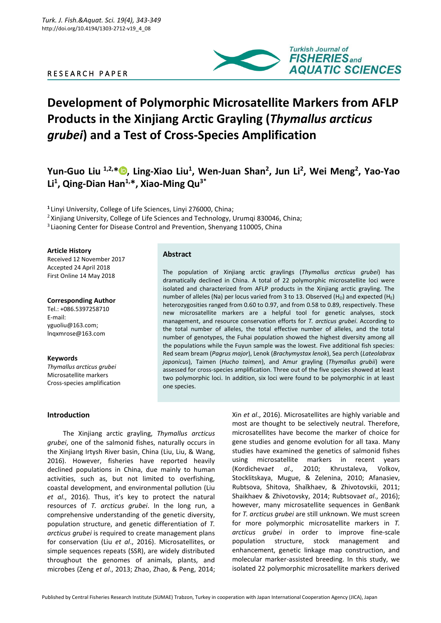# R E S E A R C H P A P E R



# **Development of Polymorphic Microsatellite Markers from AFLP Products in the Xinjiang Arctic Grayling (***Thymallus arcticus grubei***) and a Test of Cross-Species Amplification**

**Yun-Guo Liu 1,2,\* [,](https://orcid.org/0000-0002-2118-6057) Ling-Xiao Liu<sup>1</sup> , Wen-Juan Shan<sup>2</sup> , Jun Li<sup>2</sup> , Wei Meng<sup>2</sup> , Yao-Yao Li1 , Qing-Dian Han1,\*, Xiao-Ming Qu3\***

**<sup>1</sup>**Linyi University, College of Life Sciences, Linyi 276000, China;

<sup>2</sup> Xinjiang University, College of Life Sciences and Technology, Urumqi 830046, China;

<sup>3</sup> Liaoning Center for Disease Control and Prevention, Shenyang 110005, China

**Article History**

Received 12 November 2017 Accepted 24 April 2018 First Online 14 May 2018

## **Corresponding Author**

Tel.: +086.5397258710 E-mail: [yguoliu@163.com;](mailto:yguoliu@163.com) lnqxmrose@163.com

# **Keywords**

*Thymallus arcticus grubei* Microsatellite markers Cross-species amplification

# **Abstract**

The population of Xinjiang arctic graylings (*Thymallus arcticus grubei*) has dramatically declined in China. A total of 22 polymorphic microsatellite loci were isolated and characterized from AFLP products in the Xinjiang arctic grayling. The number of alleles (Na) per locus varied from 3 to 13. Observed (H<sub>0</sub>) and expected (H<sub>F</sub>) heterozygosities ranged from 0.60 to 0.97, and from 0.58 to 0.89, respectively. These new microsatellite markers are a helpful tool for genetic analyses, stock management, and resource conservation efforts for *T. arcticus grubei*. According to the total number of alleles, the total effective number of alleles, and the total number of genotypes, the Fuhai population showed the highest diversity among all the populations while the Fuyun sample was the lowest. Five additional fish species: Red seam bream (*Pagrus major*), Lenok (*Brachymystax lenok*), Sea perch (*Lateolabrax japonicus*), Taimen (*Hucho taimen*), and Amur grayling (*Thymallus grubii*) were assessed for cross-species amplification. Three out of the five species showed at least two polymorphic loci. In addition, six loci were found to be polymorphic in at least one species.

# **Introduction**

The Xinjiang arctic grayling, *Thymallus arcticus grubei*, one of the salmonid fishes, naturally occurs in the Xinjiang Irtysh River basin, China (Liu, Liu, & Wang, 2016). However, fisheries have reported heavily declined populations in China, due mainly to human activities, such as, but not limited to overfishing, coastal development, and environmental pollution (Liu *et al*., 2016). Thus, it's key to protect the natural resources of *T. arcticus grubei*. In the long run, a comprehensive understanding of the genetic diversity, population structure, and genetic differentiation of *T. arcticus grubei* is required to create management plans for conservation (Liu *et al*., 2016). Microsatellites, or simple sequences repeats (SSR), are widely distributed throughout the genomes of animals, plants, and microbes (Zeng *et al*., 2013; Zhao, Zhao, & Peng, 2014;

Xin *et al*., 2016). Microsatellites are highly variable and most are thought to be selectively neutral. Therefore, microsatellites have become the marker of choice for gene studies and genome evolution for all taxa. Many studies have examined the genetics of salmonid fishes using microsatellite markers in recent years (Kordicheva*et al*., 2010; Khrustaleva, Volkov, Stocklitskaya, Mugue, & Zelenina, 2010; Afanasiev, Rubtsova, Shitova, Shaĭkhaev, & Zhivotovskii, 2011; Shaikhaev & Zhivotovsky, 2014; Rubtsova*et al*., 2016); however, many microsatellite sequences in GenBank for *T. arcticus grubei* are still unknown. We must screen for more polymorphic microsatellite markers in *T. arcticus grubei* in order to improve fine-scale population structure, stock management and enhancement, genetic linkage map construction, and molecular marker-assisted breeding. In this study, we isolated 22 polymorphic microsatellite markers derived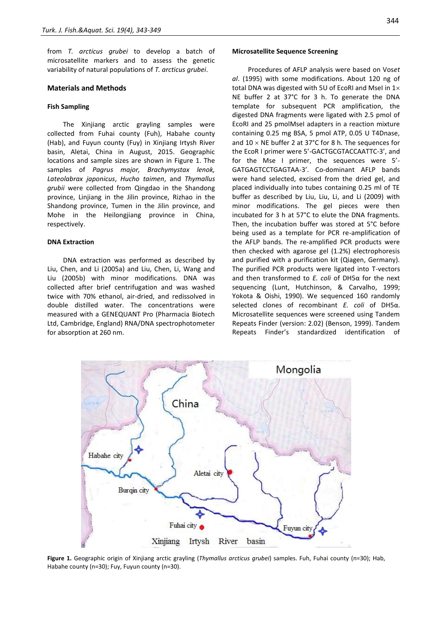from *T. arcticus grubei* to develop a batch of microsatellite markers and to assess the genetic variability of natural populations of *T. arcticus grubei*.

## **Materials and Methods**

#### **Fish Sampling**

The Xinjiang arctic grayling samples were collected from Fuhai county (Fuh), Habahe county (Hab), and Fuyun county (Fuy) in Xinjiang Irtysh River basin, Aletai, China in August, 2015. Geographic locations and sample sizes are shown in Figure 1. The samples of *Pagrus major, Brachymystax lenok, Lateolabrax japonicus*, *Hucho taimen*, and *Thymallus grubii* were collected from Qingdao in the Shandong province, Linjiang in the Jilin province, Rizhao in the Shandong province, Tumen in the Jilin province, and Mohe in the Heilongjiang province in China, respectively.

#### **DNA Extraction**

DNA extraction was performed as described by Liu, Chen, and Li (2005a) and Liu, Chen, Li, Wang and Liu (2005b) with minor modifications. DNA was collected after brief centrifugation and was washed twice with 70% ethanol, air-dried, and redissolved in double distilled water. The concentrations were measured with a GENEQUANT Pro (Pharmacia Biotech Ltd, Cambridge, England) RNA/DNA spectrophotometer for absorption at 260 nm.

#### **Microsatellite Sequence Screening**

Procedures of AFLP analysis were based on Vos*et al*. (1995) with some modifications. About 120 ng of total DNA was digested with 5U of EcoRI and MseI in  $1 \times$ NE buffer 2 at 37°C for 3 h. To generate the DNA template for subsequent PCR amplification, the digested DNA fragments were ligated with 2.5 pmol of EcoRI and 25 pmolMseI adapters in a reaction mixture containing 0.25 mg BSA, 5 pmol ATP, 0.05 U T4Dnase, and 10  $\times$  NE buffer 2 at 37°C for 8 h. The sequences for the EcoR I primer were 5'-GACTGCGTACCAATTC-3', and for the Mse I primer, the sequences were 5'- GATGAGTCCTGAGTAA-3'. Co-dominant AFLP bands were hand selected, excised from the dried gel, and placed individually into tubes containing 0.25 ml of TE buffer as described by Liu, Liu, Li, and Li (2009) with minor modifications. The gel pieces were then incubated for 3 h at 57°C to elute the DNA fragments. Then, the incubation buffer was stored at 5°C before being used as a template for PCR re-amplification of the AFLP bands. The re-amplified PCR products were then checked with agarose gel (1.2%) electrophoresis and purified with a purification kit (Qiagen, Germany). The purified PCR products were ligated into T-vectors and then transformed to *E. coli* of DH5α for the next sequencing (Lunt, Hutchinson, & Carvalho, 1999; Yokota & Oishi, 1990). We sequenced 160 randomly selected clones of recombinant *E. coli* of DH5α. Microsatellite sequences were screened using Tandem Repeats Finder (version: 2.02) (Benson, 1999). Tandem Repeats Finder's standardized identification of



**Figure 1.** Geographic origin of Xinjiang arctic grayling (*Thymallus arcticus grubei*) samples. Fuh, Fuhai county (n=30); Hab, Habahe county (n=30); Fuy, Fuyun county (n=30).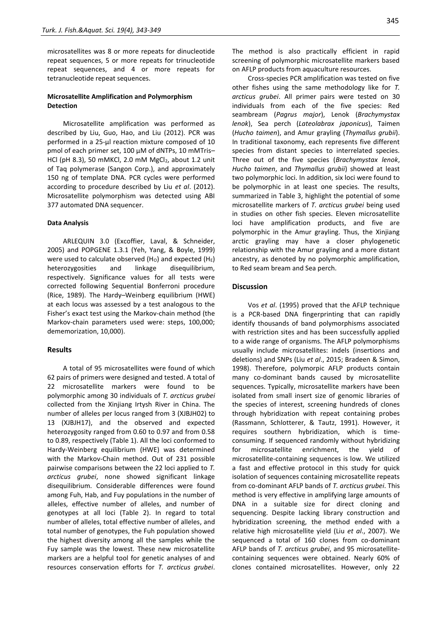microsatellites was 8 or more repeats for dinucleotide repeat sequences, 5 or more repeats for trinucleotide repeat sequences, and 4 or more repeats for tetranucleotide repeat sequences.

## **Microsatellite Amplification and Polymorphism Detection**

Microsatellite amplification was performed as described by Liu, Guo, Hao, and Liu (2012). PCR was performed in a 25-μl reaction mixture composed of 10 pmol of each primer set, 100 μM of dNTPs, 10 mMTris– HCl (pH 8.3), 50 mMKCl, 2.0 mM MgCl2, about 1.2 unit of Taq polymerase (Sangon Corp.), and approximately 150 ng of template DNA. PCR cycles were performed according to procedure described by Liu *et al*. (2012). Microsatellite polymorphism was detected using ABI 377 automated DNA sequencer.

## **Data Analysis**

ARLEQUIN 3.0 (Excoffier, Laval, & Schneider, 2005) and POPGENE 1.3.1 (Yeh, Yang, & Boyle, 1999) were used to calculate observed (H<sub>0</sub>) and expected (H<sub>E</sub>) heterozygosities and linkage disequilibrium, respectively. Significance values for all tests were corrected following Sequential Bonferroni procedure (Rice, 1989). The Hardy–Weinberg equilibrium (HWE) at each locus was assessed by a test analogous to the Fisher's exact test using the Markov-chain method (the Markov-chain parameters used were: steps, 100,000; dememorization, 10,000).

## **Results**

A total of 95 microsatellites were found of which 62 pairs of primers were designed and tested. A total of 22 microsatellite markers were found to be polymorphic among 30 individuals of *T. arcticus grubei* collected from the Xinjiang Irtysh River in China. The number of alleles per locus ranged from 3 (XJBJH02) to 13 (XJBJH17), and the observed and expected heterozygosity ranged from 0.60 to 0.97 and from 0.58 to 0.89, respectively (Table 1). All the loci conformed to Hardy-Weinberg equilibrium (HWE) was determined with the Markov-Chain method. Out of 231 possible pairwise comparisons between the 22 loci applied to *T. arcticus grubei*, none showed significant linkage disequilibrium. Considerable differences were found among Fuh, Hab, and Fuy populations in the number of alleles, effective number of alleles, and number of genotypes at all loci (Table 2). In regard to total number of alleles, total effective number of alleles, and total number of genotypes, the Fuh population showed the highest diversity among all the samples while the Fuy sample was the lowest. These new microsatellite markers are a helpful tool for genetic analyses of and resources conservation efforts for *T. arcticus grubei*. The method is also practically efficient in rapid screening of polymorphic microsatellite markers based on AFLP products from aquaculture resources.

Cross-species PCR amplification was tested on five other fishes using the same methodology like for *T. arcticus grubei*. All primer pairs were tested on 30 individuals from each of the five species: Red seambream (*Pagrus major*), Lenok (*Brachymystax lenok*), Sea perch (*Lateolabrax japonicus*), Taimen (*Hucho taimen*), and Amur grayling (*Thymallus grubii*). In traditional taxonomy, each represents five different species from distant species to interrelated species. Three out of the five species (*Brachymystax lenok*, *Hucho taimen*, and *Thymallus grubii*) showed at least two polymorphic loci. In addition, six loci were found to be polymorphic in at least one species. The results, summarized in Table 3, highlight the potential of some microsatellite markers of *T. arcticus grubei* being used in studies on other fish species. Eleven microsatellite loci have amplification products, and five are polymorphic in the Amur grayling. Thus, the Xinjiang arctic grayling may have a closer phylogenetic relationship with the Amur grayling and a more distant ancestry, as denoted by no polymorphic amplification, to Red seam bream and Sea perch.

# **Discussion**

Vos *et al*. (1995) proved that the AFLP technique is a PCR-based DNA fingerprinting that can rapidly identify thousands of band polymorphisms associated with restriction sites and has been successfully applied to a wide range of organisms. The AFLP polymorphisms usually include microsatellites: indels (insertions and deletions) and SNPs (Liu *et al*., 2015; Bradeen & Simon, 1998). Therefore, polymorpic AFLP products contain many co-dominant bands caused by microsatellite sequences. Typically, microsatellite markers have been isolated from small insert size of genomic libraries of the species of interest, screening hundreds of clones through hybridization with repeat containing probes (Rassmann, Schlotterer, & Tautz, 1991). However, it requires southern hybridization, which is timeconsuming. If sequenced randomly without hybridizing for microsatellite enrichment, the yield of microsatellite-containing sequences is low. We utilized a fast and effective protocol in this study for quick isolation of sequences containing microsatellite repeats from co-dominant AFLP bands of *T. arcticus grubei*. This method is very effective in amplifying large amounts of DNA in a suitable size for direct cloning and sequencing. Despite lacking library construction and hybridization screening, the method ended with a relative high microsatellite yield (Liu *et al*., 2007). We sequenced a total of 160 clones from co-dominant AFLP bands of *T. arcticus grubei*, and 95 microsatellitecontaining sequences were obtained. Nearly 60% of clones contained microsatellites. However, only 22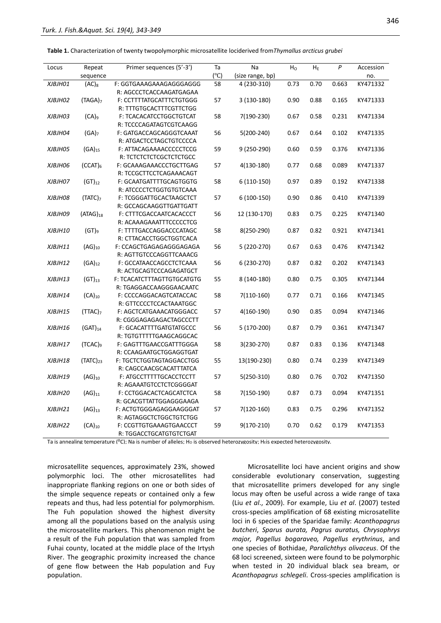| Locus   | Repeat                | Primer sequences (5'-3')   | Ta            | Na               | H <sub>o</sub> | $H_{\rm F}$ | P     | Accession |
|---------|-----------------------|----------------------------|---------------|------------------|----------------|-------------|-------|-----------|
|         | sequence              |                            | $(^{\circ}C)$ | (size range, bp) |                |             |       | no.       |
| XJBJH01 | $(AC)_8$              | F: GGTGAAAGAAAGAGGGAGGG    | 58            | 4 (230-310)      | 0.73           | 0.70        | 0.663 | KY471332  |
|         |                       | R: AGCCCTCACCAAGATGAGAA    |               |                  |                |             |       |           |
| XJBJH02 | (TAGA) <sub>7</sub>   | F: CCTTTTATGCATTTCTGTGGG   | 57            | 3 (130-180)      | 0.90           | 0.88        | 0.165 | KY471333  |
|         |                       | R: TTTGTGCACTTTCGTTCTGG    |               |                  |                |             |       |           |
| XJBJH03 | $(CA)_{9}$            | F: TCACACATCCTGGCTGTCAT    | 58            | 7(190-230)       | 0.67           | 0.58        | 0.231 | KY471334  |
|         |                       | R: TCCCCAGATAGTCGTCAAGG    |               |                  |                |             |       |           |
| XJBJH04 | (GA) <sub>7</sub>     | F: GATGACCAGCAGGGTCAAAT    | 56            | $5(200-240)$     | 0.67           | 0.64        | 0.102 | KY471335  |
|         |                       | R: ATGACTCCTAGCTGTCCCCA    |               |                  |                |             |       |           |
| XJBJH05 | $(GA)_{15}$           | F: ATTACAGAAAACCCCCTCCG    | 59            | 9 (250-290)      | 0.60           | 0.59        | 0.376 | KY471336  |
|         |                       | R: TCTCTCTCTCGCTCTCTGCC    |               |                  |                |             |       |           |
| XJBJH06 | $(CCAT)$ <sub>6</sub> | F: GCAAAGAAACCCTGCTTGAG    | 57            | 4(130-180)       | 0.77           | 0.68        | 0.089 | KY471337  |
|         |                       | R: TCCGCTTCCTCAGAAACAGT    |               |                  |                |             |       |           |
| XJBJH07 | $(GT)_{12}$           | F: GCAATGATTTTGCAGTGGTG    | 58            | $6(110-150)$     | 0.97           | 0.89        | 0.192 | KY471338  |
|         |                       | R: ATCCCCTCTGGTGTGTCAAA    |               |                  |                |             |       |           |
| XJBJH08 | $(TATC)_{7}$          | F: TCGGGATTGCACTAAGCTCT    | 57            | $6(100-150)$     | 0.90           | 0.86        | 0.410 | KY471339  |
|         |                       | R: GCCAGCAAGGTTGATTGATT    |               |                  |                |             |       |           |
| XJBJH09 | (ATAG) <sub>18</sub>  | F: CTTTCGACCAATCACACCCT    | 56            | 12 (130-170)     | 0.83           | 0.75        | 0.225 | KY471340  |
|         |                       | R: ACAAAGAAATTTCCCCCTCG    |               |                  |                |             |       |           |
| XJBJH10 | $(GT)_{9}$            | F: TTTTGACCAGGACCCATAGC    | 58            | 8(250-290)       | 0.87           | 0.82        | 0.921 | KY471341  |
|         |                       | R: CTTACACCTGGCTGGTCACA    |               |                  |                |             |       |           |
| XJBJH11 | $(AG)_{10}$           | F: CCAGCTGAGAGAGGGAGAGA    | 56            | 5 (220-270)      | 0.67           | 0.63        | 0.476 | KY471342  |
|         |                       | R: AGTTGTCCCAGGTTCAAACG    |               |                  |                |             |       |           |
| XJBJH12 | $(GA)_{12}$           | F: GCCATAACCAGCCTCTCAAA    | 56            | 6 (230-270)      | 0.87           | 0.82        | 0.202 | KY471343  |
|         |                       | R: ACTGCAGTCCCAGAGATGCT    |               |                  |                |             |       |           |
| XJBJH13 | $(GT)_{13}$           | F: TCACATCTTTAGTTGTGCATGTG | 55            | 8 (140-180)      | 0.80           | 0.75        | 0.305 | KY471344  |
|         |                       | R: TGAGGACCAAGGGAACAATC    |               |                  |                |             |       |           |
| XJBJH14 | $(CA)_{10}$           | F: CCCCAGGACAGTCATACCAC    | 58            | $7(110-160)$     | 0.77           | 0.71        | 0.166 | KY471345  |
|         |                       | R: GTTCCCCTCCACTAAATGGC    |               |                  |                |             |       |           |
| XJBJH15 | $(TTAC)_{7}$          | F: AGCTCATGAAACATGGGACC    | 57            | 4(160-190)       | 0.90           | 0.85        | 0.094 | KY471346  |
|         |                       | R: CGGGAGAGAGACTAGCCCTT    |               |                  |                |             |       |           |
| XJBJH16 | $(GAT)_{14}$          | F: GCACATTTTGATGTATGCCC    | 56            | 5 (170-200)      | 0.87           | 0.79        | 0.361 | KY471347  |
|         |                       | R: TGTGTTTTTGAAGCAGGCAC    |               |                  |                |             |       |           |
| XJBJH17 | $(TCAC)_{9}$          | F: GAGTTTGAACCGATTTGGGA    | 58            | 3(230-270)       | 0.87           | 0.83        | 0.136 | KY471348  |
|         |                       | R: CCAAGAATGCTGGAGGTGAT    |               |                  |                |             |       |           |
| XJBJH18 | $(TATC)_{23}$         | F: TGCTCTGGTAGTAGGACCTGG   | 55            | 13(190-230)      | 0.80           | 0.74        | 0.239 | KY471349  |
|         |                       | R: CAGCCAACGCACATTTATCA    |               |                  |                |             |       |           |
| XJBJH19 | $(AG)_{10}$           | F: ATGCCTTTTTGCACCTCCTT    | 57            | $5(250-310)$     | 0.80           | 0.76        | 0.702 | KY471350  |
|         |                       | R: AGAAATGTCCTCTCGGGGAT    |               |                  |                |             |       |           |
| XJBJH20 | $(AG)_{11}$           | F: CCTGGACACTCAGCATCTCA    | 58            | 7(150-190)       | 0.87           | 0.73        | 0.094 | KY471351  |
|         |                       | R: GCACGTTATTGGAGGGAAGA    |               |                  |                |             |       |           |
| XJBJH21 | $(AG)_{13}$           | F: ACTGTGGGAGAGGAAGGGAT    | 57            | 7(120-160)       | 0.83           | 0.75        | 0.296 | KY471352  |
|         |                       | R: AGTAGGCTCTGGCTGTCTGG    |               |                  |                |             |       |           |
| XJBJH22 | $(CA)_{10}$           | F: CCGTTGTGAAAGTGAACCCT    | 59            | $9(170-210)$     | 0.70           | 0.62        | 0.179 | KY471353  |
|         |                       | R: TGGACCTGCATGTGTCTGAT    |               |                  |                |             |       |           |

Ta is annealing temperature ( $^{\circ}$ C); Na is number of alleles; Ho is observed heterozygosity; H<sub>E</sub>is expected heterozygosity.

microsatellite sequences, approximately 23%, showed polymorphic loci. The other microsatellites had inappropriate flanking regions on one or both sides of the simple sequence repeats or contained only a few repeats and thus, had less potential for polymorphism. The Fuh population showed the highest diversity among all the populations based on the analysis using the microsatellite markers. This phenomenon might be a result of the Fuh population that was sampled from Fuhai county, located at the middle place of the Irtysh River. The geographic proximity increased the chance of gene flow between the Hab population and Fuy population.

Microsatellite loci have ancient origins and show considerable evolutionary conservation, suggesting that microsatellite primers developed for any single locus may often be useful across a wide range of taxa (Liu *et al*., 2009). For example, Liu *et al*. (2007) tested cross-species amplification of 68 existing microsatellite loci in 6 species of the Sparidae family: *Acanthopagrus butcheri*, *Sparus aurata, Pagrus auratus, Chrysophrys major, Pagellus bogaraveo, Pagellus erythrinus*, and one species of Bothidae, *Paralichthys olivaceus*. Of the 68 loci screened, sixteen were found to be polymorphic when tested in 20 individual black sea bream, or *Acanthopagrus schlegeli*. Cross-species amplification is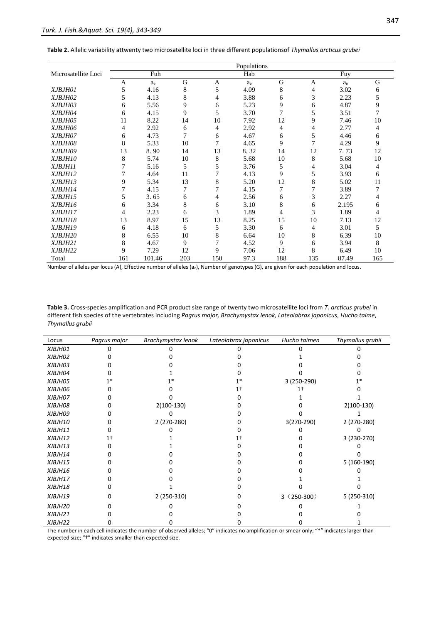|  | Table 2. Allelic variability attwenty two microsatellite loci in three different populationsof Thymallus arcticus grubei |  |
|--|--------------------------------------------------------------------------------------------------------------------------|--|
|--|--------------------------------------------------------------------------------------------------------------------------|--|

|                     |     |                |     |     | Populations    |     |     |                |     |  |
|---------------------|-----|----------------|-----|-----|----------------|-----|-----|----------------|-----|--|
| Microsatellite Loci | Fuh |                |     |     | Hab            |     |     | Fuy            |     |  |
|                     | A   | a <sub>e</sub> | G   | A   | a <sub>e</sub> | G   | A   | a <sub>e</sub> | G   |  |
| XJBJH01             | 5   | 4.16           | 8   | 5   | 4.09           | 8   | 4   | 3.02           | 6   |  |
| XJBJH02             | 5   | 4.13           | 8   | 4   | 3.88           | 6   | 3   | 2.23           | 5   |  |
| XJBJH03             | 6   | 5.56           | 9   | 6   | 5.23           | 9   | 6   | 4.87           | 9   |  |
| XJBJH04             | 6   | 4.15           | 9   | 5   | 3.70           | 7   | 5   | 3.51           | 7   |  |
| XJBJH05             | 11  | 8.22           | 14  | 10  | 7.92           | 12  | 9   | 7.46           | 10  |  |
| XJBJH06             | 4   | 2.92           | 6   | 4   | 2.92           | 4   | 4   | 2.77           | 4   |  |
| XJBJH07             | 6   | 4.73           | 7   | 6   | 4.67           | 6   | 5   | 4.46           | 6   |  |
| XJBJH08             | 8   | 5.33           | 10  | 7   | 4.65           | 9   | 7   | 4.29           | 9   |  |
| XJBJH09             | 13  | 8.90           | 14  | 13  | 8.32           | 14  | 12  | 7.73           | 12  |  |
| XJBJH10             | 8   | 5.74           | 10  | 8   | 5.68           | 10  | 8   | 5.68           | 10  |  |
| XJBJH11             | 7   | 5.16           | 5   | 5   | 3.76           | 5   | 4   | 3.04           | 4   |  |
| XJBJH12             | 7   | 4.64           | 11  | 7   | 4.13           | 9   | 5   | 3.93           | 6   |  |
| XJBJH13             | 9   | 5.34           | 13  | 8   | 5.20           | 12  | 8   | 5.02           | 11  |  |
| XJBJH14             | 7   | 4.15           | 7   | 7   | 4.15           | 7   | 7   | 3.89           | 7   |  |
| XJBJH15             | 5   | 3.65           | 6   | 4   | 2.56           | 6   | 3   | 2.27           | 4   |  |
| XJBJH16             | 6   | 3.34           | 8   | 6   | 3.10           | 8   | 6   | 2.195          | 6   |  |
| XJBJH17             | 4   | 2.23           | 6   | 3   | 1.89           | 4   | 3   | 1.89           | 4   |  |
| XJBJH18             | 13  | 8.97           | 15  | 13  | 8.25           | 15  | 10  | 7.13           | 12  |  |
| XJBJH19             | 6   | 4.18           | 6   | 5   | 3.30           | 6   | 4   | 3.01           | 5   |  |
| XJBJH20             | 8   | 6.55           | 10  | 8   | 6.64           | 10  | 8   | 6.39           | 10  |  |
| XJBJH21             | 8   | 4.67           | 9   | 7   | 4.52           | 9   | 6   | 3.94           | 8   |  |
| XJBJH22             | 9   | 7.29           | 12  | 9   | 7.06           | 12  | 8   | 6.49           | 10  |  |
| Total               | 161 | 101.46         | 203 | 150 | 97.3           | 188 | 135 | 87.49          | 165 |  |

Number of alleles per locus (A), Effective number of alleles (ae), Number of genotypes (G), are given for each population and locus.

**Table 3.** Cross-species amplification and PCR product size range of twenty two microsatellite loci from *T. arcticus grubei* in different fish species of the vertebrates including *Pagrus major, Brachymystax lenok, Lateolabrax japonicus*, *Hucho taime*, *Thymallus grubii*

| Locus   | Pagrus major | Brachymystax lenok | Lateolabrax japonicus | Hucho taimen | Thymallus grubii |
|---------|--------------|--------------------|-----------------------|--------------|------------------|
| XJBJH01 |              |                    |                       |              |                  |
| XJBJH02 |              |                    |                       |              |                  |
| XJBJH03 |              |                    |                       |              |                  |
| XJBJH04 |              |                    |                       |              |                  |
| XJBJH05 | 1*           |                    |                       | 3 (250-290)  |                  |
| XJBJH06 | O            |                    | 1†                    | 1†           |                  |
| XJBJH07 |              |                    |                       |              |                  |
| XJBJH08 |              | $2(100-130)$       |                       |              | $2(100-130)$     |
| XJBJH09 |              |                    |                       |              |                  |
| XJBJH10 |              | 2 (270-280)        |                       | 3(270-290)   | 2 (270-280)      |
| XJBJH11 |              |                    |                       |              |                  |
| XJBJH12 | 1†           |                    | 1†                    |              | 3 (230-270)      |
| XJBJH13 | n            |                    |                       |              |                  |
| XJBJH14 |              |                    |                       |              |                  |
| XJBJH15 |              |                    |                       |              | 5 (160-190)      |
| XJBJH16 |              |                    |                       |              |                  |
| XJBJH17 |              |                    |                       |              |                  |
| XJBJH18 |              |                    |                       |              |                  |
| XJBJH19 | Ω            | 2 (250-310)        |                       | $3(250-300)$ | 5 (250-310)      |
| XJBJH20 |              |                    |                       |              |                  |
| XJBJH21 |              |                    |                       |              |                  |
| XJBJH22 |              |                    |                       |              |                  |

The number in each cell indicates the number of observed alleles; "0" indicates no amplification or smear only; "\*" indicates larger than expected size; "†" indicates smaller than expected size.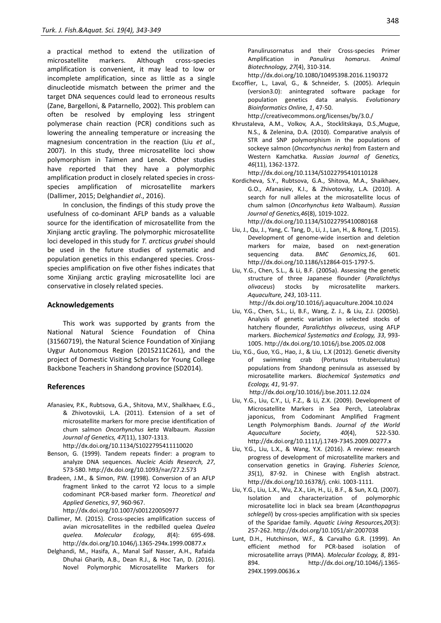a practical method to extend the utilization of microsatellite markers. Although cross-species amplification is convenient, it may lead to low or incomplete amplification, since as little as a single dinucleotide mismatch between the primer and the target DNA sequences could lead to erroneous results (Zane, Bargelloni, & Patarnello, 2002). This problem can often be resolved by employing less stringent polymerase chain reaction (PCR) conditions such as lowering the annealing temperature or increasing the magnesium concentration in the reaction (Liu *et al*., 2007). In this study, three microsatellite loci show polymorphism in Taimen and Lenok. Other studies have reported that they have a polymorphic amplification product in closely related species in crossspecies amplification of microsatellite markers (Dallimer, 2015; Delghandi*et al*., 2016).

In conclusion, the findings of this study prove the usefulness of co-dominant AFLP bands as a valuable source for the identification of microsatellite from the Xinjiang arctic grayling. The polymorphic microsatellite loci developed in this study for *T. arcticus grubei* should be used in the future studies of systematic and population genetics in this endangered species. Crossspecies amplification on five other fishes indicates that some Xinjiang arctic grayling microsatellite loci are conservative in closely related species.

#### **Acknowledgements**

This work was supported by grants from the National Natural Science Foundation of China (31560719), the Natural Science Foundation of Xinjiang Uygur Autonomous Region (2015211C261), and the project of Domestic Visiting Scholars for Young College Backbone Teachers in Shandong province (SD2014).

## **References**

- Afanasiev, P.K., Rubtsova, G.A., Shitova, M.V., Shaĭkhaev, E.G., & Zhivotovskii, L.A. (2011). Extension of a set of microsatellite markers for more precise identification of chum salmon *Oncorhynchus keta* Walbaum. *Russian Journal of Genetics, 47*(11), 1307-1313.
	- http://dx.doi.org/10.1134/S1022795411110020
- Benson, G. (1999). Tandem repeats finder: a program to analyze DNA sequences. *Nucleic Acids Research, 27*, 573-580. http://dx.doi.org/10.1093/nar/27.2.573
- Bradeen, J.M., & Simon, P.W. (1998). Conversion of an AFLP fragment linked to the carrot Y2 locus to a simple codominant PCR-based marker form. *Theoretical and Applied Genetics*, *97*, 960-967.

http://dx.doi.org/10.1007/s001220050977

- Dallimer, M. (2015). Cross-species amplification success of avian microsatellites in the redbilled quelea *Quelea quelea*. *Molecular Ecology, 8*(4): 695-698. http://dx.doi.org/10.1046/j.1365-294x.1999.00877.x
- Delghandi, M., Hasifa, A., Manal Saif Nasser, A.H., Rafaida Dhuhai Gharib, A.B., Dean R.J., & Hoc Tan, D. (2016). Novel Polymorphic Microsatellite Markers for

Panulirusornatus and their Cross-species Primer Amplification in *Panulirus homarus*. *Animal Biotechnology, 27*(4), 310-314.

http://dx.doi.org/10.1080/10495398.2016.1190372

Excoffier, L., Laval, G., & Schneider, S. (2005). Arlequin (version3.0): anintegrated software package for population genetics data analysis. *Evolutionary Bioinformatics Onlin*e, *1*, 47-50.

http://creativecommons.org/licenses/by/3.0./

Khrustaleva, A.M., Volkov, A.A., Stocklitskaya, D.S.,Mugue, N.S., & Zelenina, D.A. (2010). Comparative analysis of STR and SNP polymorphism in the populations of sockeye salmon (*Oncorhynchus nerka*) from Eastern and Western Kamchatka. *Russian Journal of Genetics, 46*(11), 1362-1372.

http://dx.doi.org/10.1134/S1022795410110128

- Kordicheva, S.Y., Rubtsova, G.A., Shitova, M.A., Shaikhaev, G.O., Afanasiev, K.I., & Zhivotovsky, L.A. (2010). A search for null alleles at the microsatellite locus of chum salmon (*Oncorhynchus keta* Walbaum). *Russian Journal of Genetics,46*(8), 1019-1022. http://dx.doi.org/10.1134/S1022795410080168
- Liu, J., Qu, J., Yang, C. Tang, D., Li, J., Lan, H., & Rong, T. (2015). Development of genome-wide insertion and deletion markers for maize, based on next-generation sequencing data. *BMC Genomics,16*, 601. http://dx.doi.org/10.1186/s12864-015-1797-5.
- Liu, Y.G., Chen, S.L., & Li, B.F. (2005a). Assessing the genetic structure of three Japanese flounder (*Paralichthys olivaceus*) stocks by microsatellite markers. *Aquaculture, 243*, 103-111.

http://dx.doi.org/10.1016/j.aquaculture.2004.10.024

- Liu, Y.G., Chen, S.L., Li, B.F., Wang, Z. J., & Liu, Z.J. (2005b). Analysis of genetic variation in selected stocks of hatchery flounder, *Paralichthys olivaceus*, using AFLP markers. *Biochemical Systematics and Ecology, 33*, 993- 1005. http://dx.doi.org/10.1016/j.bse.2005.02.008
- Liu, Y.G., Guo, Y.G., Hao, J., & Liu, L.X (2012). Genetic diversity of swimming crab (Portunus trituberculatus) populations from Shandong peninsula as assessed by microsatellite markers. *Biochemical Systematics and Ecology, 41*, 91-97. http://dx.doi.org/10.1016/j.bse.2011.12.024

Liu, Y.G., Liu, C.Y., Li, F.Z., & Li, Z.X. (2009). Development of Microsatellite Markers in Sea Perch, Lateolabrax japonicus, from Codominant Amplified Fragment Length Polymorphism Bands. *Journal of the World Aquaculture Society, 40*(4), 522-530. http://dx.doi.org/10.1111/j.1749-7345.2009.00277.x

- Liu, Y.G., Liu, L.X., & Wang, Y.X. (2016). A review: research progress of development of microsatellite markers and conservation genetics in Graying. *Fisheries Science, 35*(1), 87-92. in Chinese with English abstract. http://dx.doi.org/10.16378/j. cnki. 1003-1111.
- Liu, Y.G., Liu, L.X., Wu, Z.X., Lin, H., Li, B.F., & Sun, X.Q. (2007). Isolation and characterization of polymorphic microsatellite loci in black sea bream (*Acanthopagrus schlegeli*) by cross-species amplification with six species of the Sparidae family. *Aquatic Living Resources,20*(3): 257-262. http://dx.doi.org/10.1051/alr:2007038
- Lunt, D.H., Hutchinson, W.F., & Carvalho G.R. (1999). An efficient method for PCR-based isolation of microsatellite arrays (PIMA). *Molecular Ecology, 8*, 891- 894. http://dx.doi.org/10.1046/j.1365- 294X.1999.00636.x